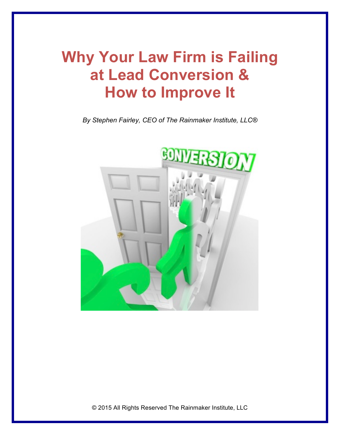## **Why Your Law Firm is Failing at Lead Conversion & How to Improve It**

*By Stephen Fairley, CEO of The Rainmaker Institute, LLC®*

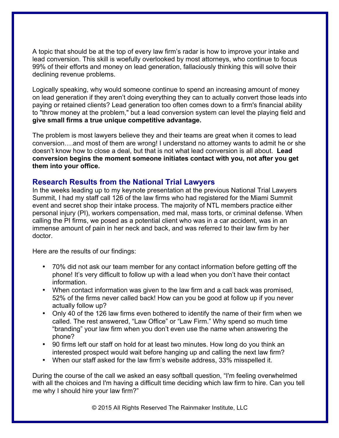A topic that should be at the top of every law firm's radar is how to improve your intake and lead conversion. This skill is woefully overlooked by most attorneys, who continue to focus 99% of their efforts and money on lead generation, fallaciously thinking this will solve their declining revenue problems.

Logically speaking, why would someone continue to spend an increasing amount of money on lead generation if they aren't doing everything they can to actually convert those leads into paying or retained clients? Lead generation too often comes down to a firm's financial ability to "throw money at the problem," but a lead conversion system can level the playing field and **give small firms a true unique competitive advantage.**

The problem is most lawyers believe they and their teams are great when it comes to lead conversion….and most of them are wrong! I understand no attorney wants to admit he or she doesn't know how to close a deal, but that is not what lead conversion is all about. **Lead conversion begins the moment someone initiates contact with you, not after you get them into your office.**

## **Research Results from the National Trial Lawyers**

In the weeks leading up to my keynote presentation at the previous National Trial Lawyers Summit, I had my staff call 126 of the law firms who had registered for the Miami Summit event and secret shop their intake process. The majority of NTL members practice either personal injury (PI), workers compensation, med mal, mass torts, or criminal defense. When calling the PI firms, we posed as a potential client who was in a car accident, was in an immense amount of pain in her neck and back, and was referred to their law firm by her doctor.

Here are the results of our findings:

- 70% did not ask our team member for any contact information before getting off the phone! It's very difficult to follow up with a lead when you don't have their contact information.
- When contact information was given to the law firm and a call back was promised, 52% of the firms never called back! How can you be good at follow up if you never actually follow up?
- Only 40 of the 126 law firms even bothered to identify the name of their firm when we called. The rest answered, "Law Office" or "Law Firm." Why spend so much time "branding" your law firm when you don't even use the name when answering the phone?
- 90 firms left our staff on hold for at least two minutes. How long do you think an interested prospect would wait before hanging up and calling the next law firm?
- When our staff asked for the law firm's website address, 33% misspelled it.

During the course of the call we asked an easy softball question, "I'm feeling overwhelmed with all the choices and I'm having a difficult time deciding which law firm to hire. Can you tell me why I should hire your law firm?"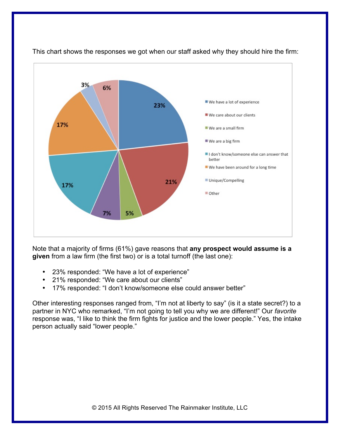

This chart shows the responses we got when our staff asked why they should hire the firm:

Note that a majority of firms (61%) gave reasons that **any prospect would assume is a given** from a law firm (the first two) or is a total turnoff (the last one):

- 23% responded: "We have a lot of experience"
- 21% responded: "We care about our clients"
- 17% responded: "I don't know/someone else could answer better"

Other interesting responses ranged from, "I'm not at liberty to say" (is it a state secret?) to a partner in NYC who remarked, "I'm not going to tell you why we are different!" Our *favorite* response was, "I like to think the firm fights for justice and the lower people." Yes, the intake person actually said "lower people."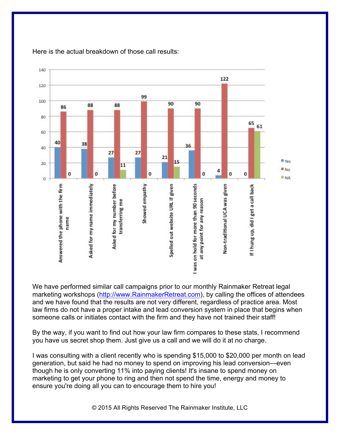

Here is the actual breakdown of those call results:

We have performed similar call campaigns prior to our monthly Rainmaker Retreat legal marketing workshops (http://www.RainmakerRetreat.com), by calling the offices of attendees and we have found that the results are not very different, regardless of practice area. Most law firms do not have a proper intake and lead conversion system in place that begins when someone calls or initiates contact with the firm and they have not trained their staff!

By the way, if you want to find out how your law firm compares to these stats, I recommend you have us secret shop them. Just give us a call and we will do it at no charge.

I was consulting with a client recently who is spending \$15,000 to \$20,000 per month on lead generation, but said he had no money to spend on improving his lead conversion—even though he is only converting 11% into paying clients! It's insane to spend money on marketing to get your phone to ring and then not spend the time, energy and money to ensure you're doing all you can to encourage them to hire you!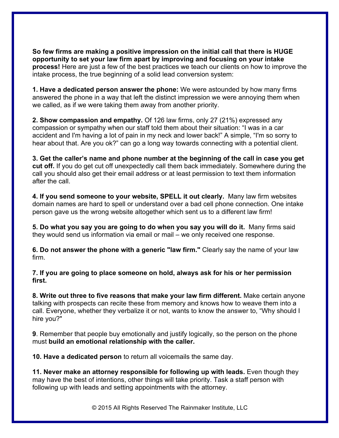**So few firms are making a positive impression on the initial call that there is HUGE opportunity to set your law firm apart by improving and focusing on your intake process!** Here are just a few of the best practices we teach our clients on how to improve the intake process, the true beginning of a solid lead conversion system:

**1. Have a dedicated person answer the phone:** We were astounded by how many firms answered the phone in a way that left the distinct impression we were annoying them when we called, as if we were taking them away from another priority.

**2. Show compassion and empathy.** Of 126 law firms, only 27 (21%) expressed any compassion or sympathy when our staff told them about their situation: "I was in a car accident and I'm having a lot of pain in my neck and lower back!" A simple, "I'm so sorry to hear about that. Are you ok?" can go a long way towards connecting with a potential client.

**3. Get the caller's name and phone number at the beginning of the call in case you get cut off.** If you do get cut off unexpectedly call them back immediately. Somewhere during the call you should also get their email address or at least permission to text them information after the call.

**4. If you send someone to your website, SPELL it out clearly.** Many law firm websites domain names are hard to spell or understand over a bad cell phone connection. One intake person gave us the wrong website altogether which sent us to a different law firm!

**5. Do what you say you are going to do when you say you will do it.** Many firms said they would send us information via email or mail – we only received one response.

**6. Do not answer the phone with a generic "law firm."** Clearly say the name of your law firm.

**7. If you are going to place someone on hold, always ask for his or her permission first.**

**8. Write out three to five reasons that make your law firm different.** Make certain anyone talking with prospects can recite these from memory and knows how to weave them into a call. Everyone, whether they verbalize it or not, wants to know the answer to, "Why should I hire you?"

**9**. Remember that people buy emotionally and justify logically, so the person on the phone must **build an emotional relationship with the caller.**

**10. Have a dedicated person** to return all voicemails the same day.

**11. Never make an attorney responsible for following up with leads.** Even though they may have the best of intentions, other things will take priority. Task a staff person with following up with leads and setting appointments with the attorney.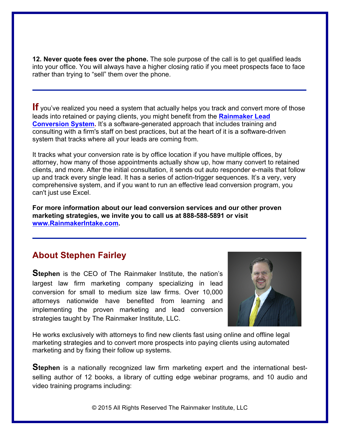**12. Never quote fees over the phone.** The sole purpose of the call is to get qualified leads into your office. You will always have a higher closing ratio if you meet prospects face to face rather than trying to "sell" them over the phone.

**If** you've realized you need a system that actually helps you track and convert more of those leads into retained or paying clients, you might benefit from the **Rainmaker Lead Conversion System.** It's a software-generated approach that includes training and consulting with a firm's staff on best practices, but at the heart of it is a software-driven system that tracks where all your leads are coming from.

It tracks what your conversion rate is by office location if you have multiple offices, by attorney, how many of those appointments actually show up, how many convert to retained clients, and more. After the initial consultation, it sends out auto responder e-mails that follow up and track every single lead. It has a series of action-trigger sequences. It's a very, very comprehensive system, and if you want to run an effective lead conversion program, you can't just use Excel.

**For more information about our lead conversion services and our other proven marketing strategies, we invite you to call us at 888-588-5891 or visit www.RainmakerIntake.com.** 

## **About Stephen Fairley**

**Stephen** is the CEO of The Rainmaker Institute, the nation's largest law firm marketing company specializing in lead conversion for small to medium size law firms. Over 10,000 attorneys nationwide have benefited from learning and implementing the proven marketing and lead conversion strategies taught by The Rainmaker Institute, LLC.



He works exclusively with attorneys to find new clients fast using online and offline legal marketing strategies and to convert more prospects into paying clients using automated marketing and by fixing their follow up systems.

**Stephen** is a nationally recognized law firm marketing expert and the international bestselling author of 12 books, a library of cutting edge webinar programs, and 10 audio and video training programs including: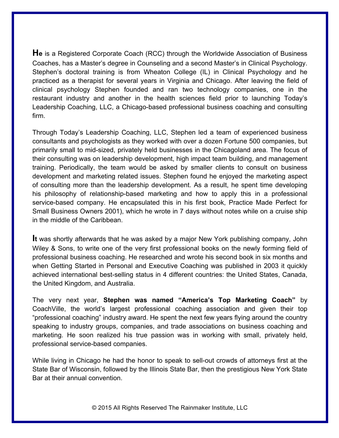**He** is a Registered Corporate Coach (RCC) through the Worldwide Association of Business Coaches, has a Master's degree in Counseling and a second Master's in Clinical Psychology. Stephen's doctoral training is from Wheaton College (IL) in Clinical Psychology and he practiced as a therapist for several years in Virginia and Chicago. After leaving the field of clinical psychology Stephen founded and ran two technology companies, one in the restaurant industry and another in the health sciences field prior to launching Today's Leadership Coaching, LLC, a Chicago-based professional business coaching and consulting firm.

Through Today's Leadership Coaching, LLC, Stephen led a team of experienced business consultants and psychologists as they worked with over a dozen Fortune 500 companies, but primarily small to mid-sized, privately held businesses in the Chicagoland area. The focus of their consulting was on leadership development, high impact team building, and management training. Periodically, the team would be asked by smaller clients to consult on business development and marketing related issues. Stephen found he enjoyed the marketing aspect of consulting more than the leadership development. As a result, he spent time developing his philosophy of relationship-based marketing and how to apply this in a professional service-based company. He encapsulated this in his first book, Practice Made Perfect for Small Business Owners 2001), which he wrote in 7 days without notes while on a cruise ship in the middle of the Caribbean.

**It** was shortly afterwards that he was asked by a major New York publishing company, John Wiley & Sons, to write one of the very first professional books on the newly forming field of professional business coaching. He researched and wrote his second book in six months and when Getting Started in Personal and Executive Coaching was published in 2003 it quickly achieved international best-selling status in 4 different countries: the United States, Canada, the United Kingdom, and Australia.

The very next year, **Stephen was named "America's Top Marketing Coach"** by CoachVille, the world's largest professional coaching association and given their top "professional coaching" industry award. He spent the next few years flying around the country speaking to industry groups, companies, and trade associations on business coaching and marketing. He soon realized his true passion was in working with small, privately held, professional service-based companies.

While living in Chicago he had the honor to speak to sell-out crowds of attorneys first at the State Bar of Wisconsin, followed by the Illinois State Bar, then the prestigious New York State Bar at their annual convention.